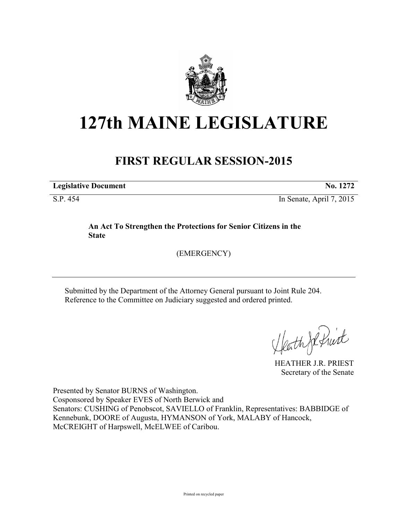

# **127th MAINE LEGISLATURE**

# **FIRST REGULAR SESSION-2015**

**Legislative Document No. 1272**

S.P. 454 In Senate, April 7, 2015

## **An Act To Strengthen the Protections for Senior Citizens in the State**

(EMERGENCY)

Submitted by the Department of the Attorney General pursuant to Joint Rule 204. Reference to the Committee on Judiciary suggested and ordered printed.

Heath Je frist

HEATHER J.R. PRIEST Secretary of the Senate

Presented by Senator BURNS of Washington. Cosponsored by Speaker EVES of North Berwick and Senators: CUSHING of Penobscot, SAVIELLO of Franklin, Representatives: BABBIDGE of Kennebunk, DOORE of Augusta, HYMANSON of York, MALABY of Hancock, McCREIGHT of Harpswell, McELWEE of Caribou.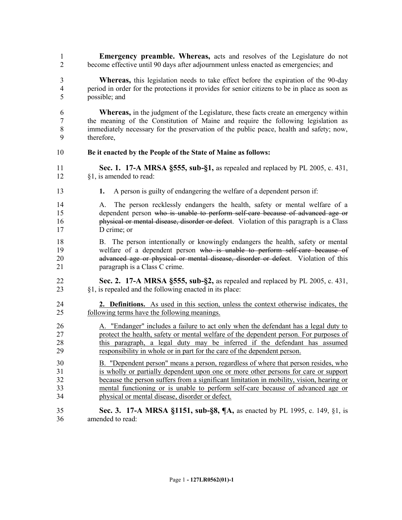- **Emergency preamble. Whereas,** acts and resolves of the Legislature do not become effective until 90 days after adjournment unless enacted as emergencies; and
- **Whereas,** this legislation needs to take effect before the expiration of the 90-day period in order for the protections it provides for senior citizens to be in place as soon as possible; and
- **Whereas,** in the judgment of the Legislature, these facts create an emergency within the meaning of the Constitution of Maine and require the following legislation as immediately necessary for the preservation of the public peace, health and safety; now, therefore,

### **Be it enacted by the People of the State of Maine as follows:**

- **Sec. 1. 17-A MRSA §555, sub-§1,** as repealed and replaced by PL 2005, c. 431, §1, is amended to read:
- **1.** A person is guilty of endangering the welfare of a dependent person if:
- A. The person recklessly endangers the health, safety or mental welfare of a dependent person who is unable to perform self-care because of advanced age or physical or mental disease, disorder or defect. Violation of this paragraph is a Class D crime; or
- B. The person intentionally or knowingly endangers the health, safety or mental welfare of a dependent person who is unable to perform self-care because of **advanced age or physical or mental disease, disorder or defect**. Violation of this paragraph is a Class C crime.
- **Sec. 2. 17-A MRSA §555, sub-§2,** as repealed and replaced by PL 2005, c. 431, §1, is repealed and the following enacted in its place:
- **2. Definitions.** As used in this section, unless the context otherwise indicates, the following terms have the following meanings.
- 26 A. "Endanger" includes a failure to act only when the defendant has a legal duty to protect the health, safety or mental welfare of the dependent person. For purposes of this paragraph, a legal duty may be inferred if the defendant has assumed responsibility in whole or in part for the care of the dependent person.
- B. "Dependent person" means a person, regardless of where that person resides, who is wholly or partially dependent upon one or more other persons for care or support because the person suffers from a significant limitation in mobility, vision, hearing or mental functioning or is unable to perform self-care because of advanced age or physical or mental disease, disorder or defect.
- **Sec. 3. 17-A MRSA §1151, sub-§8, ¶A,** as enacted by PL 1995, c. 149, §1, is amended to read: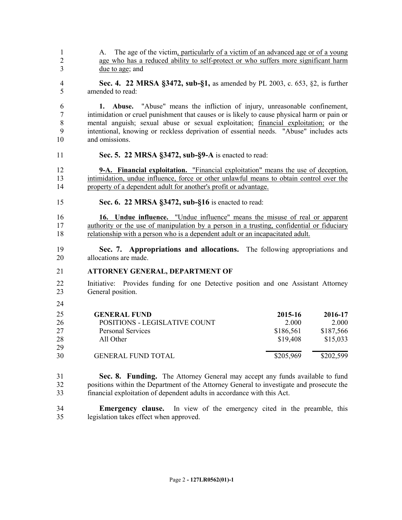1 A. The age of the victim, particularly of a victim of an advanced age or of a young age who has a reduced ability to self-protect or who suffers more significant harm due to age; and

 **Sec. 4. 22 MRSA §3472, sub-§1,** as amended by PL 2003, c. 653, §2, is further amended to read:

 **1. Abuse.** "Abuse" means the infliction of injury, unreasonable confinement, intimidation or cruel punishment that causes or is likely to cause physical harm or pain or mental anguish; sexual abuse or sexual exploitation; financial exploitation; or the intentional, knowing or reckless deprivation of essential needs. "Abuse" includes acts and omissions.

**Sec. 5. 22 MRSA §3472, sub-§9-A** is enacted to read:

 **9-A. Financial exploitation.** "Financial exploitation" means the use of deception, intimidation, undue influence, force or other unlawful means to obtain control over the property of a dependent adult for another's profit or advantage.

**Sec. 6. 22 MRSA §3472, sub-§16** is enacted to read:

 **16. Undue influence.** "Undue influence" means the misuse of real or apparent 17 authority or the use of manipulation by a person in a trusting, confidential or fiduciary relationship with a person who is a dependent adult or an incapacitated adult.

 **Sec. 7. Appropriations and allocations.** The following appropriations and allocations are made.

### **ATTORNEY GENERAL, DEPARTMENT OF**

- Initiative: Provides funding for one Detective position and one Assistant Attorney General position.
- 

| 25 | <b>GENERAL FUND</b>           | 2015-16   | 2016-17   |
|----|-------------------------------|-----------|-----------|
| 26 | POSITIONS - LEGISLATIVE COUNT | 2.000     | 2.000     |
| 27 | <b>Personal Services</b>      | \$186,561 | \$187,566 |
| 28 | All Other                     | \$19,408  | \$15,033  |
| 29 |                               |           |           |
| 30 | <b>GENERAL FUND TOTAL</b>     | \$205,969 | \$202,599 |

 **Sec. 8. Funding.** The Attorney General may accept any funds available to fund positions within the Department of the Attorney General to investigate and prosecute the financial exploitation of dependent adults in accordance with this Act.

 **Emergency clause.** In view of the emergency cited in the preamble, this legislation takes effect when approved.